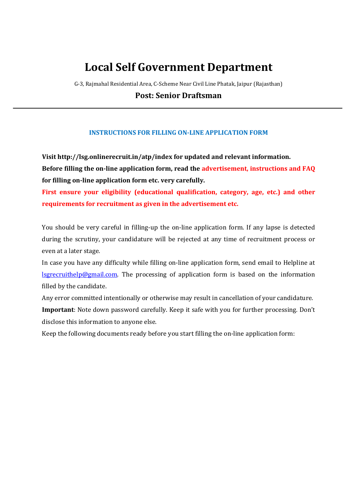# Local Self Government Department

G-3, Rajmahal Residential Area, C-Scheme Near Civil Line Phatak, Jaipur (Rajasthan)

Post: Senior Draftsman

# INSTRUCTIONS FOR FILLING ON-LINE APPLICATION FORM

Visit http://lsg.onlinerecruit.in/atp/index for updated and relevant information. Before filling the on-line application form, read the advertisement, instructions and FAQ for filling on-line application form etc. very carefully.

First ensure your eligibility (educational qualification, category, age, etc.) and other requirements for recruitment as given in the advertisement etc.

You should be very careful in filling-up the on-line application form. If any lapse is detected during the scrutiny, your candidature will be rejected at any time of recruitment process or even at a later stage.

In case you have any difficulty while filling on-line application form, send email to Helpline at lsgrecruithelp@gmail.com. The processing of application form is based on the information filled by the candidate.

Any error committed intentionally or otherwise may result in cancellation of your candidature. Important: Note down password carefully. Keep it safe with you for further processing. Don't disclose this information to anyone else.

Keep the following documents ready before you start filling the on-line application form: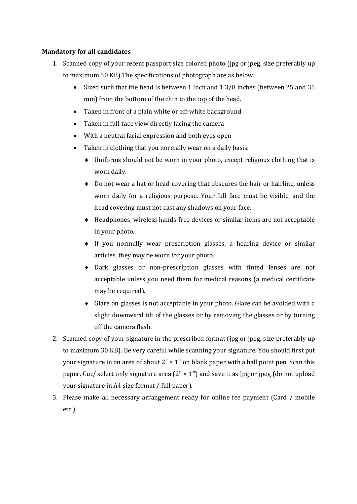# Mandatory for all candidates

- 1. Scanned copy of your recent passport size colored photo (jpg or jpeg, size preferably up to maximum 50 KB) The specifications of photograph are as below:
	- Sized such that the head is between 1 inch and 1 3/8 inches (between 25 and 35 mm) from the bottom of the chin to the top of the head.
	- Taken in front of a plain white or off-white background
	- Taken in full-face view directly facing the camera
	- With a neutral facial expression and both eyes open
	- Taken in clothing that you normally wear on a daily basis:
		- Uniforms should not be worn in your photo, except religious clothing that is worn daily.
		- Do not wear a hat or head covering that obscures the hair or hairline, unless worn daily for a religious purpose. Your full face must be visible, and the head covering must not cast any shadows on your face.
		- Headphones, wireless hands-free devices or similar items are not acceptable in your photo.
		- $\bullet$  If you normally wear prescription glasses, a hearing device or similar articles, they may be worn for your photo.
		- Dark glasses or non-prescription glasses with tinted lenses are not acceptable unless you need them for medical reasons (a medical certificate may be required).
		- Glare on glasses is not acceptable in your photo. Glare can be avoided with a slight downward tilt of the glasses or by removing the glasses or by turning off the camera flash.
- 2. Scanned copy of your signature in the prescribed format (jpg or jpeg, size preferably up to maximum 30 KB). Be very careful while scanning your signature. You should first put your signature in an area of about  $2" \times 1"$  on blank paper with a ball point pen. Scan this paper. Cut/ select only signature area  $(2'' \times 1'')$  and save it as  $[pg]$  or jpeg (do not upload your signature in A4 size format / full paper).
- 3. Please make all necessary arrangement ready for online fee payment (Card / mobile etc.)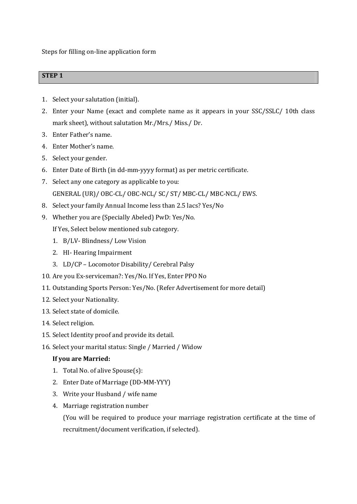Steps for filling on-line application form

# STEP 1

- 1. Select your salutation (initial).
- 2. Enter your Name (exact and complete name as it appears in your SSC/SSLC/ 10th class mark sheet), without salutation Mr./Mrs./ Miss./ Dr.
- 3. Enter Father's name.
- 4. Enter Mother's name.
- 5. Select your gender.
- 6. Enter Date of Birth (in dd-mm-yyyy format) as per metric certificate.
- 7. Select any one category as applicable to you: GENERAL (UR)/ OBC-CL/ OBC-NCL/ SC/ ST/ MBC-CL/ MBC-NCL/ EWS.
- 8. Select your family Annual Income less than 2.5 lacs? Yes/No
- 9. Whether you are (Specially Abeled) PwD: Yes/No.

If Yes, Select below mentioned sub category.

- 1. B/LV- Blindness/ Low Vision
- 2. HI- Hearing Impairment
- 3. LD/CP Locomotor Disability/ Cerebral Palsy
- 10. Are you Ex-serviceman?: Yes/No. If Yes, Enter PPO No
- 11. Outstanding Sports Person: Yes/No. (Refer Advertisement for more detail)
- 12. Select your Nationality.
- 13. Select state of domicile.
- 14. Select religion.
- 15. Select Identity proof and provide its detail.
- 16. Select your marital status: Single / Married / Widow

## If you are Married:

- 1. Total No. of alive Spouse(s):
- 2. Enter Date of Marriage (DD-MM-YYY)
- 3. Write your Husband / wife name
- 4. Marriage registration number

(You will be required to produce your marriage registration certificate at the time of recruitment/document verification, if selected).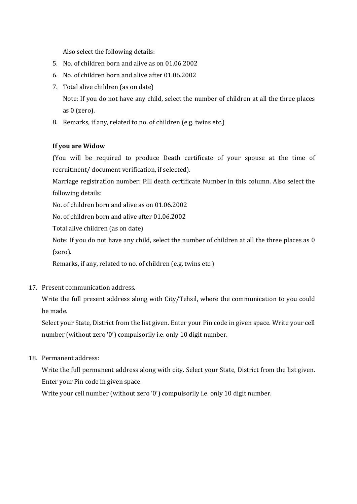Also select the following details:

- 5. No. of children born and alive as on 01.06.2002
- 6. No. of children born and alive after 01.06.2002
- 7. Total alive children (as on date)

Note: If you do not have any child, select the number of children at all the three places as 0 (zero).

8. Remarks, if any, related to no. of children (e.g. twins etc.)

# If you are Widow

(You will be required to produce Death certificate of your spouse at the time of recruitment/ document verification, if selected).

Marriage registration number: Fill death certificate Number in this column. Also select the following details:

No. of children born and alive as on 01.06.2002

No. of children born and alive after 01.06.2002

Total alive children (as on date)

Note: If you do not have any child, select the number of children at all the three places as 0 (zero).

Remarks, if any, related to no. of children (e.g. twins etc.)

17. Present communication address.

Write the full present address along with City/Tehsil, where the communication to you could be made.

Select your State, District from the list given. Enter your Pin code in given space. Write your cell number (without zero '0') compulsorily i.e. only 10 digit number.

18. Permanent address:

Write the full permanent address along with city. Select your State, District from the list given. Enter your Pin code in given space.

Write your cell number (without zero '0') compulsorily i.e. only 10 digit number.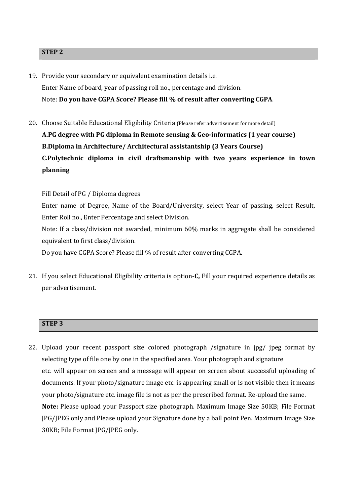#### STEP 2

- 19. Provide your secondary or equivalent examination details i.e. Enter Name of board, year of passing roll no., percentage and division. Note: Do you have CGPA Score? Please fill % of result after converting CGPA.
- 20. Choose Suitable Educational Eligibility Criteria (Please refer advertisement for more detail) A.PG degree with PG diploma in Remote sensing & Geo-informatics (1 year course) B.Diploma in Architecture/ Architectural assistantship (3 Years Course) C.Polytechnic diploma in civil draftsmanship with two years experience in town planning

Fill Detail of PG / Diploma degrees

Enter name of Degree, Name of the Board/University, select Year of passing, select Result, Enter Roll no., Enter Percentage and select Division.

Note: If a class/division not awarded, minimum 60% marks in aggregate shall be considered equivalent to first class/division.

Do you have CGPA Score? Please fill % of result after converting CGPA.

21. If you select Educational Eligibility criteria is option-C, Fill your required experience details as per advertisement.

# STEP 3

22. Upload your recent passport size colored photograph /signature in jpg/ jpeg format by selecting type of file one by one in the specified area. Your photograph and signature etc. will appear on screen and a message will appear on screen about successful uploading of documents. If your photo/signature image etc. is appearing small or is not visible then it means your photo/signature etc. image file is not as per the prescribed format. Re-upload the same. Note: Please upload your Passport size photograph. Maximum Image Size 50KB; File Format JPG/JPEG only and Please upload your Signature done by a ball point Pen. Maximum Image Size 30KB; File Format JPG/JPEG only.